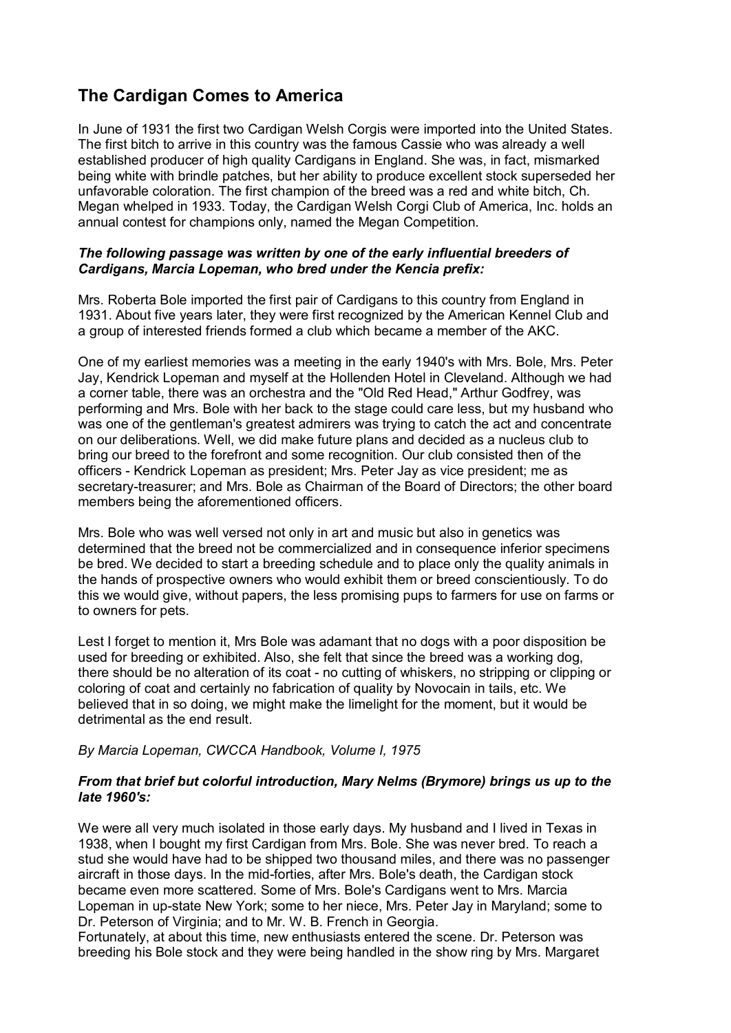# **The Cardigan Comes to America**

In June of 1931 the first two Cardigan Welsh Corgis were imported into the United States. The first bitch to arrive in this country was the famous Cassie who was already a well established producer of high quality Cardigans in England. She was, in fact, mismarked being white with brindle patches, but her ability to produce excellent stock superseded her unfavorable coloration. The first champion of the breed was a red and white bitch, Ch. Megan whelped in 1933. Today, the Cardigan Welsh Corgi Club of America, Inc. holds an annual contest for champions only, named the Megan Competition.

### *The following passage was written by one of the early influential breeders of Cardigans, Marcia Lopeman, who bred under the Kencia prefix:*

Mrs. Roberta Bole imported the first pair of Cardigans to this country from England in 1931. About five years later, they were first recognized by the American Kennel Club and a group of interested friends formed a club which became a member of the AKC.

One of my earliest memories was a meeting in the early 1940's with Mrs. Bole, Mrs. Peter Jay, Kendrick Lopeman and myself at the Hollenden Hotel in Cleveland. Although we had a corner table, there was an orchestra and the "Old Red Head," Arthur Godfrey, was performing and Mrs. Bole with her back to the stage could care less, but my husband who was one of the gentleman's greatest admirers was trying to catch the act and concentrate on our deliberations. Well, we did make future plans and decided as a nucleus club to bring our breed to the forefront and some recognition. Our club consisted then of the officers - Kendrick Lopeman as president; Mrs. Peter Jay as vice president; me as secretary-treasurer; and Mrs. Bole as Chairman of the Board of Directors; the other board members being the aforementioned officers.

Mrs. Bole who was well versed not only in art and music but also in genetics was determined that the breed not be commercialized and in consequence inferior specimens be bred. We decided to start a breeding schedule and to place only the quality animals in the hands of prospective owners who would exhibit them or breed conscientiously. To do this we would give, without papers, the less promising pups to farmers for use on farms or to owners for pets.

Lest I forget to mention it, Mrs Bole was adamant that no dogs with a poor disposition be used for breeding or exhibited. Also, she felt that since the breed was a working dog, there should be no alteration of its coat - no cutting of whiskers, no stripping or clipping or coloring of coat and certainly no fabrication of quality by Novocain in tails, etc. We believed that in so doing, we might make the limelight for the moment, but it would be detrimental as the end result.

## *By Marcia Lopeman, CWCCA Handbook, Volume I, 1975*

## *From that brief but colorful introduction, Mary Nelms (Brymore) brings us up to the late 1960's:*

We were all very much isolated in those early days. My husband and I lived in Texas in 1938, when I bought my first Cardigan from Mrs. Bole. She was never bred. To reach a stud she would have had to be shipped two thousand miles, and there was no passenger aircraft in those days. In the mid-forties, after Mrs. Bole's death, the Cardigan stock became even more scattered. Some of Mrs. Bole's Cardigans went to Mrs. Marcia Lopeman in up-state New York; some to her niece, Mrs. Peter Jay in Maryland; some to Dr. Peterson of Virginia; and to Mr. W. B. French in Georgia.

Fortunately, at about this time, new enthusiasts entered the scene. Dr. Peterson was breeding his Bole stock and they were being handled in the show ring by Mrs. Margaret